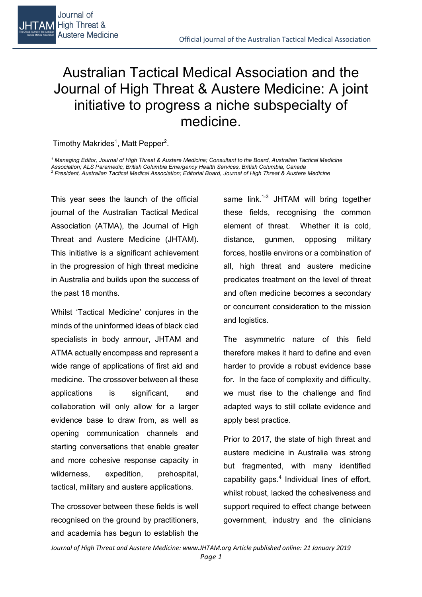

# Australian Tactical Medical Association and the Journal of High Threat & Austere Medicine: A joint initiative to progress a niche subspecialty of medicine.

Timothy Makrides<sup>1</sup>, Matt Pepper<sup>2</sup>.

*<sup>1</sup> Managing Editor, Journal of High Threat & Austere Medicine; Consultant to the Board, Australian Tactical Medicine Association; ALS Paramedic, British Columbia Emergency Health Services, British Columbia, Canada <sup>2</sup> President, Australian Tactical Medical Association; Editorial Board, Journal of High Threat & Austere Medicine* 

This year sees the launch of the official journal of the Australian Tactical Medical Association (ATMA), the Journal of High Threat and Austere Medicine (JHTAM). This initiative is a significant achievement in the progression of high threat medicine in Australia and builds upon the success of the past 18 months.

Whilst 'Tactical Medicine' conjures in the minds of the uninformed ideas of black clad specialists in body armour, JHTAM and ATMA actually encompass and represent a wide range of applications of first aid and medicine. The crossover between all these applications is significant, and collaboration will only allow for a larger evidence base to draw from, as well as opening communication channels and starting conversations that enable greater and more cohesive response capacity in wilderness, expedition, prehospital, tactical, military and austere applications.

The crossover between these fields is well recognised on the ground by practitioners, and academia has begun to establish the same  $link.^{1-3}$  JHTAM will bring together these fields, recognising the common element of threat. Whether it is cold, distance, gunmen, opposing military forces, hostile environs or a combination of all, high threat and austere medicine predicates treatment on the level of threat and often medicine becomes a secondary or concurrent consideration to the mission and logistics.

The asymmetric nature of this field therefore makes it hard to define and even harder to provide a robust evidence base for. In the face of complexity and difficulty, we must rise to the challenge and find adapted ways to still collate evidence and apply best practice.

Prior to 2017, the state of high threat and austere medicine in Australia was strong but fragmented, with many identified capability gaps. $4$  Individual lines of effort, whilst robust, lacked the cohesiveness and support required to effect change between government, industry and the clinicians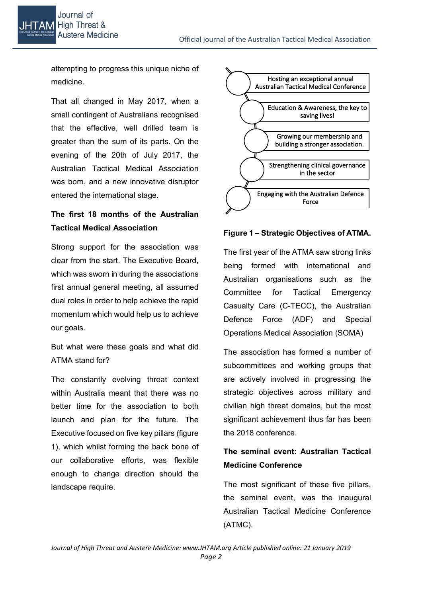attempting to progress this unique niche of medicine.

That all changed in May 2017, when a small contingent of Australians recognised that the effective, well drilled team is greater than the sum of its parts. On the evening of the 20th of July 2017, the Australian Tactical Medical Association was born, and a new innovative disruptor entered the international stage.

### **The first 18 months of the Australian Tactical Medical Association**

Strong support for the association was clear from the start. The Executive Board, which was sworn in during the associations first annual general meeting, all assumed dual roles in order to help achieve the rapid momentum which would help us to achieve our goals.

But what were these goals and what did ATMA stand for?

The constantly evolving threat context within Australia meant that there was no better time for the association to both launch and plan for the future. The Executive focused on five key pillars (figure 1), which whilst forming the back bone of our collaborative efforts, was flexible enough to change direction should the landscape require.



#### **Figure 1 – Strategic Objectives of ATMA.**

The first year of the ATMA saw strong links being formed with international and Australian organisations such as the Committee for Tactical Emergency Casualty Care (C-TECC), the Australian Defence Force (ADF) and Special Operations Medical Association (SOMA)

The association has formed a number of subcommittees and working groups that are actively involved in progressing the strategic objectives across military and civilian high threat domains, but the most significant achievement thus far has been the 2018 conference.

### **The seminal event: Australian Tactical Medicine Conference**

The most significant of these five pillars, the seminal event, was the inaugural Australian Tactical Medicine Conference (ATMC).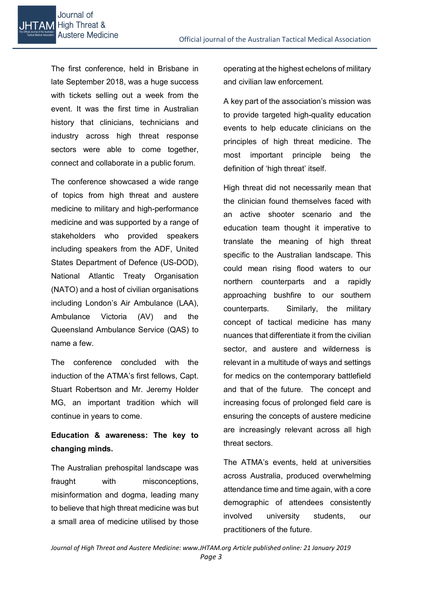The first conference, held in Brisbane in late September 2018, was a huge success with tickets selling out a week from the event. It was the first time in Australian history that clinicians, technicians and industry across high threat response sectors were able to come together, connect and collaborate in a public forum.

The conference showcased a wide range of topics from high threat and austere medicine to military and high-performance medicine and was supported by a range of stakeholders who provided speakers including speakers from the ADF, United States Department of Defence (US-DOD), National Atlantic Treaty Organisation (NATO) and a host of civilian organisations including London's Air Ambulance (LAA), Ambulance Victoria (AV) and the Queensland Ambulance Service (QAS) to name a few.

The conference concluded with the induction of the ATMA's first fellows, Capt. Stuart Robertson and Mr. Jeremy Holder MG, an important tradition which will continue in years to come.

### **Education & awareness: The key to changing minds.**

The Australian prehospital landscape was fraught with misconceptions, misinformation and dogma, leading many to believe that high threat medicine was but a small area of medicine utilised by those operating at the highest echelons of military and civilian law enforcement.

A key part of the association's mission was to provide targeted high-quality education events to help educate clinicians on the principles of high threat medicine. The most important principle being the definition of 'high threat' itself.

High threat did not necessarily mean that the clinician found themselves faced with an active shooter scenario and the education team thought it imperative to translate the meaning of high threat specific to the Australian landscape. This could mean rising flood waters to our northern counterparts and a rapidly approaching bushfire to our southern counterparts. Similarly, the military concept of tactical medicine has many nuances that differentiate it from the civilian sector, and austere and wilderness is relevant in a multitude of ways and settings for medics on the contemporary battlefield and that of the future. The concept and increasing focus of prolonged field care is ensuring the concepts of austere medicine are increasingly relevant across all high threat sectors.

The ATMA's events, held at universities across Australia, produced overwhelming attendance time and time again, with a core demographic of attendees consistently involved university students, our practitioners of the future.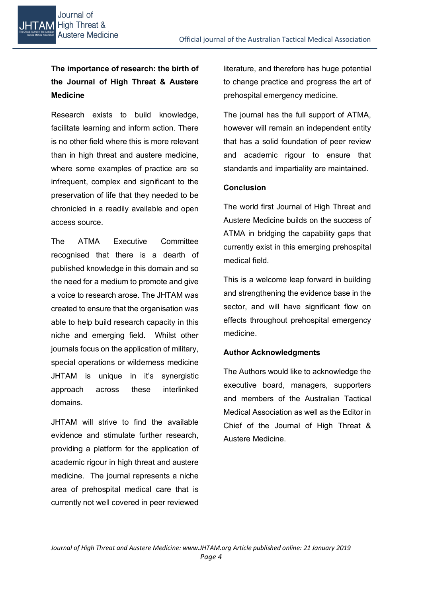## **The importance of research: the birth of the Journal of High Threat & Austere Medicine**

Research exists to build knowledge, facilitate learning and inform action. There is no other field where this is more relevant than in high threat and austere medicine, where some examples of practice are so infrequent, complex and significant to the preservation of life that they needed to be chronicled in a readily available and open access source.

The ATMA Executive Committee recognised that there is a dearth of published knowledge in this domain and so the need for a medium to promote and give a voice to research arose. The JHTAM was created to ensure that the organisation was able to help build research capacity in this niche and emerging field. Whilst other journals focus on the application of military, special operations or wilderness medicine JHTAM is unique in it's synergistic approach across these interlinked domains.

JHTAM will strive to find the available evidence and stimulate further research, providing a platform for the application of academic rigour in high threat and austere medicine. The journal represents a niche area of prehospital medical care that is currently not well covered in peer reviewed

literature, and therefore has huge potential to change practice and progress the art of prehospital emergency medicine.

The journal has the full support of ATMA, however will remain an independent entity that has a solid foundation of peer review and academic rigour to ensure that standards and impartiality are maintained.

#### **Conclusion**

The world first Journal of High Threat and Austere Medicine builds on the success of ATMA in bridging the capability gaps that currently exist in this emerging prehospital medical field.

This is a welcome leap forward in building and strengthening the evidence base in the sector, and will have significant flow on effects throughout prehospital emergency medicine.

#### **Author Acknowledgments**

The Authors would like to acknowledge the executive board, managers, supporters and members of the Australian Tactical Medical Association as well as the Editor in Chief of the Journal of High Threat & Austere Medicine.